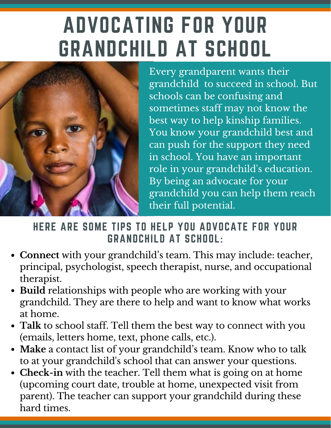# ADVOCATING FOR YOUR GRANDCHILD AT SCHOOL



Every grandparent wants their grandchild to succeed in school. But schools can be confusing and sometimes staff may not know the best way to help kinship families. You know your grandchild best and can push for the support they need in school. You have an important role in your grandchild's education. By being an advocate for your grandchild you can help them reach their full potential.

#### HERE ARE SOME TIPS TO HELP YOU ADVOCATE FOR YOUR GRANDCHILD AT SCHOOL:

- **Connect** with your grandchild's team. This may include: teacher, principal, psychologist, speech therapist, nurse, and occupational therapist.
- **Build** relationships with people who are working with your grandchild. They are there to help and want to know what works at home.
- **Talk** to school staff. Tell them the best way to connect with you (emails, letters home, text, phone calls, etc.).
- **Make** a contact list of your grandchild's team. Know who to talk to at your grandchild's school that can answer your questions.
- **Check-in** with the teacher. Tell them what is going on at home  $\bullet$ (upcoming court date, trouble at home, unexpected visit from parent). The teacher can support your grandchild during these hard times.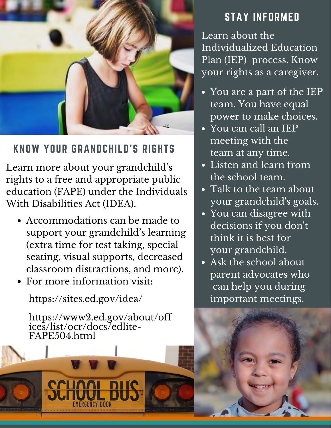

#### KNOW YOUR GRANDCHILD'S RIGHTS

Learn more about your grandchild's rights to a free and appropriate public education (FAPE) under the Individuals With Disabilities Act (IDEA).

- Accommodations can be made to support your grandchild's learning (extra time for test taking, special seating, visual supports, decreased classroom distractions, and more).
- For more information visit:

https://sites.ed.gov/idea/

https://www2.ed.gov/about/off ices/list/ocr/docs/edlite-FAPE504.html

#### STAY INFORMED

Learn about the Individualized Education Plan (IEP) process. Know your rights as a caregiver.

- You are a part of the IEP team. You have equal power to make choices.
- You can call an IEP meeting with the team at any time.
- Listen and learn from the school team.
- Talk to the team about your grandchild's goals.
- You can disagree with decisions if you don't think it is best for your grandchild.
- Ask the school about parent advocates who can help you during important meetings.